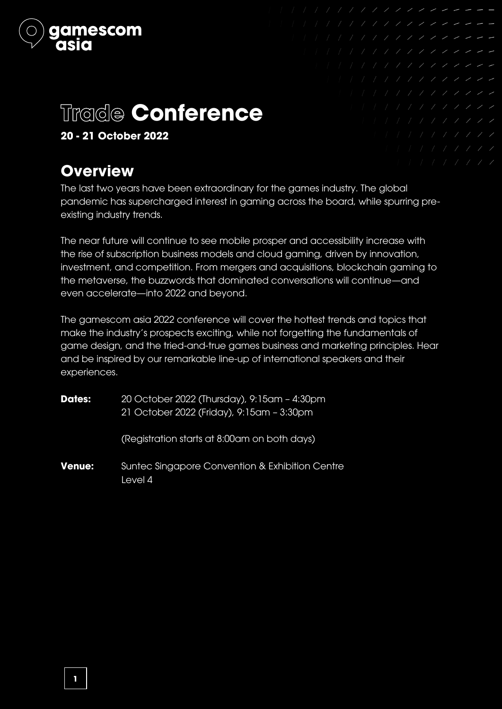

# Trade **Conference**

**20 - 21 October 2022**

# **Overview**

The last two years have been extraordinary for the games industry. The global pandemic has supercharged interest in gaming across the board, while spurring preexisting industry trends.

The near future will continue to see mobile prosper and accessibility increase with the rise of subscription business models and cloud gaming, driven by innovation, investment, and competition. From mergers and acquisitions, blockchain gaming to the metaverse, the buzzwords that dominated conversations will continue—and even accelerate—into 2022 and beyond.

The gamescom asia 2022 conference will cover the hottest trends and topics that make the industry's prospects exciting, while not forgetting the fundamentals of game design, and the tried-and-true games business and marketing principles. Hear and be inspired by our remarkable line-up of international speakers and their experiences.

| <b>Dates:</b> | 20 October 2022 (Thursday), 9:15am - 4:30pm<br>21 October 2022 (Friday), 9:15am - 3:30pm |
|---------------|------------------------------------------------------------------------------------------|
|               | (Registration starts at 8:00am on both days)                                             |
| <b>Venue:</b> | Suntec Singapore Convention & Exhibition Centre<br>Level 4                               |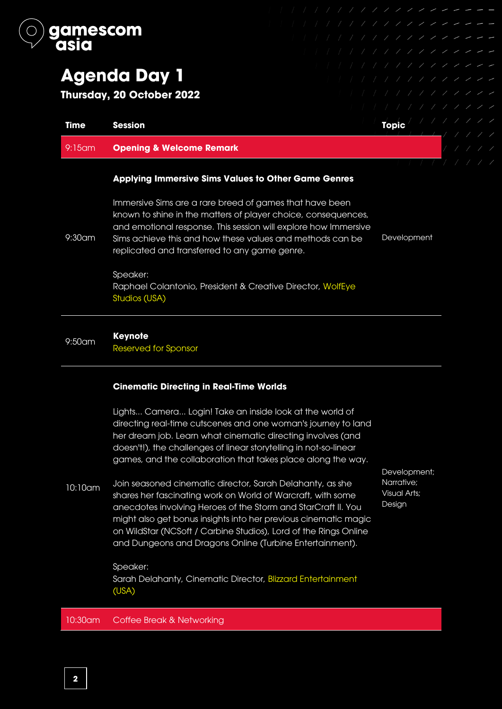

9:30am

# **Agenda Day 1**

**Thursday, 20 October 2022**

| <b>Time</b> | <b>Session</b>                                             | <b>Topic</b> |  |
|-------------|------------------------------------------------------------|--------------|--|
| $9:15$ am   | <b>Opening &amp; Welcome Remark</b>                        |              |  |
|             | <b>Applying Immersive Sims Values to Other Game Genres</b> |              |  |

Immersive Sims are a rare breed of games that have been known to shine in the matters of player choice, consequences, and emotional response. This session will explore how Immersive Sims achieve this and how these values and methods can be replicated and transferred to any game genre.

Development

Speaker: Raphael Colantonio, President & Creative Director, WolfEye Studios (USA)

# 9:50am **Keynote**

Reserved for Sponsor

## **Cinematic Directing in Real-Time Worlds**

Lights... Camera... Login! Take an inside look at the world of directing real-time cutscenes and one woman's journey to land her dream job. Learn what cinematic directing involves (and doesn't!), the challenges of linear storytelling in not-so-linear games, and the collaboration that takes place along the way.

10:10am Join seasoned cinematic director, Sarah Delahanty, as she shares her fascinating work on World of Warcraft, with some anecdotes involving Heroes of the Storm and StarCraft II. You might also get bonus insights into her previous cinematic magic on WildStar (NCSoft / Carbine Studios), Lord of the Rings Online and Dungeons and Dragons Online (Turbine Entertainment).

Sarah Delahanty, Cinematic Director, Blizzard Entertainment

Development; Narrative; Visual Arts; Design

10:30am Coffee Break & Networking

Speaker:

(USA)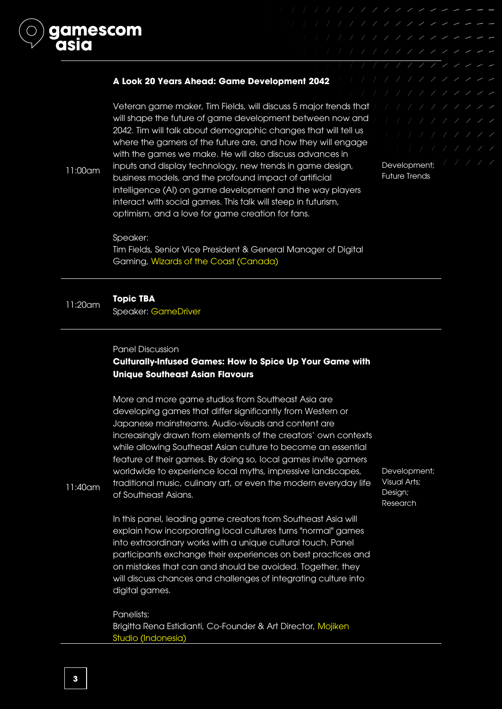

Veteran game maker, Tim Fields, will discuss 5 major trends that will shape the future of game development between now and 2042. Tim will talk about demographic changes that will tell us where the gamers of the future are, and how they will engage with the games we make. He will also discuss advances in inputs and display technology, new trends in game design, business models, and the profound impact of artificial intelligence (AI) on game development and the way players interact with social games. This talk will steep in futurism, optimism, and a love for game creation for fans.

Development; / / / / / Future Trends

#### Speaker:

11:00am

nescom

Tim Fields, Senior Vice President & General Manager of Digital Gaming, Wizards of the Coast (Canada)

# 11:20am **Topic TBA**

Speaker: GameDriver

#### Panel Discussion

# **Culturally-Infused Games: How to Spice Up Your Game with Unique Southeast Asian Flavours**

More and more game studios from Southeast Asia are developing games that differ significantly from Western or Japanese mainstreams. Audio-visuals and content are increasingly drawn from elements of the creators' own contexts while allowing Southeast Asian culture to become an essential feature of their games. By doing so, local games invite gamers worldwide to experience local myths, impressive landscapes, traditional music, culinary art, or even the modern everyday life of Southeast Asians.

Development; Visual Arts; Design; Research

11:40am

In this panel, leading game creators from Southeast Asia will explain how incorporating local cultures turns "normal" games into extraordinary works with a unique cultural touch. Panel participants exchange their experiences on best practices and on mistakes that can and should be avoided. Together, they will discuss chances and challenges of integrating culture into digital games.

Panelists: Brigitta Rena Estidianti, Co-Founder & Art Director, Mojiken Studio (Indonesia)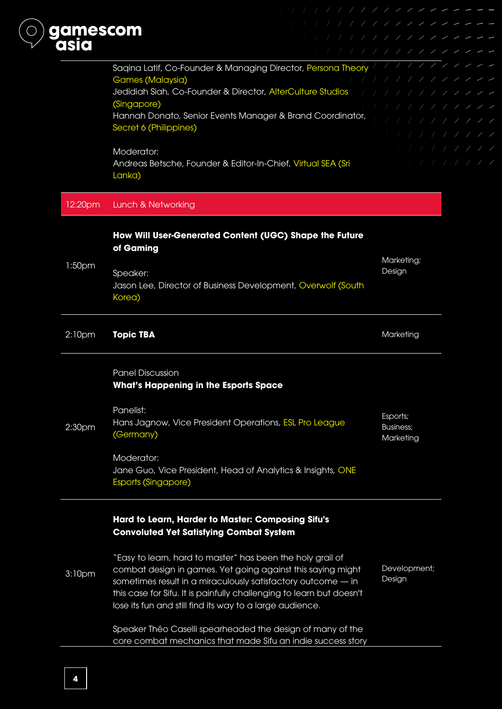

#### 12:20pm Lunch & Networking

# **How Will User-Generated Content (UGC) Shape the Future of Gaming**

1:50pm Speaker: Jason Lee, Director of Business Development, Overwolf (South Korea) Marketing; Design

#### 2:10pm **Topic TBA Marketing The Contract of Texas Adventure Marketing**

Panel Discussion **What's Happening in the Esports Space**

2:30pm Panelist: Hans Jagnow, Vice President Operations, ESL Pro League (Germany) Esports; Business; **Marketing** 

> Moderator: Jane Guo, Vice President, Head of Analytics & Insights, ONE Esports (Singapore)

# **Hard to Learn, Harder to Master: Composing Sifu's Convoluted Yet Satisfying Combat System**

|                    | "Easy to learn, hard to master" has been the holy grail of           |              |
|--------------------|----------------------------------------------------------------------|--------------|
| 3:10 <sub>pm</sub> | combat design in games. Yet going against this saying might          | Development; |
|                    | sometimes result in a miraculously satisfactory outcome - in         | Design       |
|                    | this case for Sifu. It is painfully challenging to learn but doesn't |              |
|                    | lose its fun and still find its way to a large audience.             |              |
|                    |                                                                      |              |

Speaker Théo Caselli spearheaded the design of many of the core combat mechanics that made Sifu an indie success story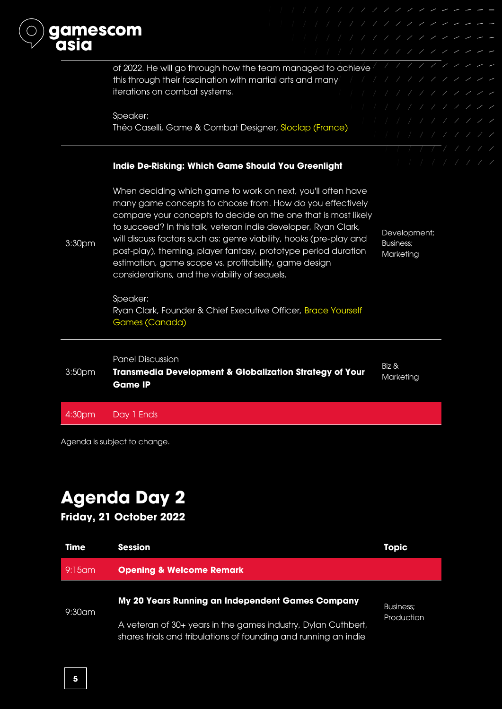

Agenda is subject to change.

# **Agenda Day 2**

**Friday, 21 October 2022**

| <b>Time</b> | <b>Session</b>                                                                                                                                                                       | <b>Topic</b>                   |
|-------------|--------------------------------------------------------------------------------------------------------------------------------------------------------------------------------------|--------------------------------|
| $9:15$ am   | <b>Opening &amp; Welcome Remark</b>                                                                                                                                                  |                                |
| $9:30$ am   | My 20 Years Running an Independent Games Company<br>A veteran of 30+ years in the games industry, Dylan Cuthbert,<br>shares trials and tribulations of founding and running an indie | <b>Business:</b><br>Production |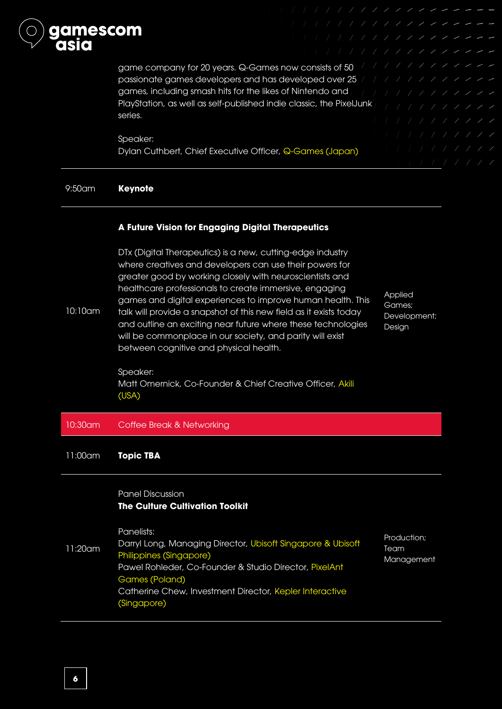

game company for 20 years. Q-Games now consists of 50 passionate games developers and has developed over 25 games, including smash hits for the likes of Nintendo and PlayStation, as well as self-published indie classic, the PixelJunk series.

#### Speaker:

Dylan Cuthbert, Chief Executive Officer, Q-Games (Japan)

#### 9:50am **Keynote**

#### **A Future Vision for Engaging Digital Therapeutics**

10:10am DTx (Digital Therapeutics) is a new, cutting-edge industry where creatives and developers can use their powers for greater good by working closely with neuroscientists and healthcare professionals to create immersive, engaging games and digital experiences to improve human health. This talk will provide a snapshot of this new field as it exists today and outline an exciting near future where these technologies will be commonplace in our society, and parity will exist between cognitive and physical health.

**Applied** Games; Development; Design

Speaker: Matt Omernick, Co-Founder & Chief Creative Officer, Akili (USA)

#### 10:30am Coffee Break & Networking

11:00am **Topic TBA** 

### Panel Discussion **The Culture Cultivation Toolkit**

Panelists:

11:20am Darryl Long, Managing Director, Ubisoft Singapore & Ubisoft Philippines (Singapore) Pawel Rohleder, Co-Founder & Studio Director, PixelAnt Games (Poland) Catherine Chew, Investment Director, Kepler Interactive (Singapore)

Production; Team Management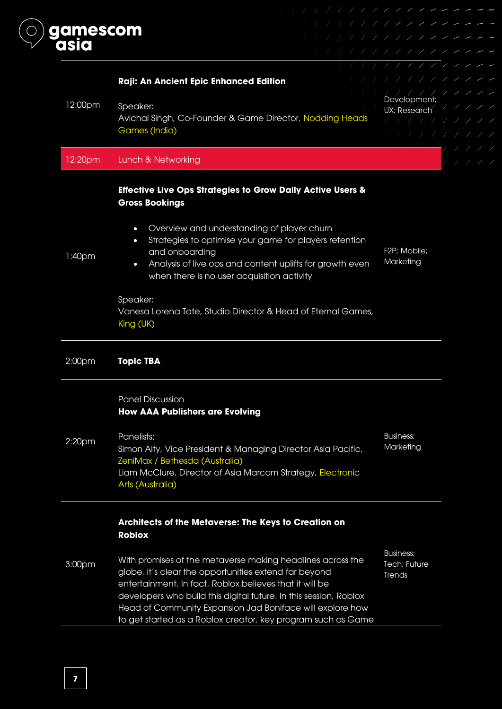

| Raji: An Ancient Epic Enhanced Edition                                                                                                                                                                                                                                                                                                                                           | 1111111                                                |              |
|----------------------------------------------------------------------------------------------------------------------------------------------------------------------------------------------------------------------------------------------------------------------------------------------------------------------------------------------------------------------------------|--------------------------------------------------------|--------------|
|                                                                                                                                                                                                                                                                                                                                                                                  | Development;                                           |              |
| Avichal Singh, Co-Founder & Game Director, Nodding Heads                                                                                                                                                                                                                                                                                                                         |                                                        |              |
| Games (India)                                                                                                                                                                                                                                                                                                                                                                    |                                                        |              |
|                                                                                                                                                                                                                                                                                                                                                                                  |                                                        |              |
| Lunch & Networking                                                                                                                                                                                                                                                                                                                                                               |                                                        |              |
| <b>Effective Live Ops Strategies to Grow Daily Active Users &amp;</b><br><b>Gross Bookings</b>                                                                                                                                                                                                                                                                                   |                                                        |              |
| Overview and understanding of player churn<br>$\bullet$<br>Strategies to optimise your game for players retention<br>$\bullet$<br>and onboarding<br>Analysis of live ops and content uplifts for growth even<br>$\bullet$                                                                                                                                                        | F2P; Mobile;<br>Marketing                              |              |
| Speaker:<br>Vanesa Lorena Tate, Studio Director & Head of Eternal Games,<br>King (UK)                                                                                                                                                                                                                                                                                            |                                                        |              |
| <b>Topic TBA</b>                                                                                                                                                                                                                                                                                                                                                                 |                                                        |              |
| <b>Panel Discussion</b><br><b>How AAA Publishers are Evolving</b>                                                                                                                                                                                                                                                                                                                |                                                        |              |
| Panelists:<br>Simon Alty, Vice President & Managing Director Asia Pacific,<br>ZeniMax / Bethesda (Australia)<br>Liam McClure, Director of Asia Marcom Strategy, Electronic<br>Arts (Australia)                                                                                                                                                                                   | <b>Business;</b><br>Marketing                          |              |
| Architects of the Metaverse: The Keys to Creation on<br><b>Roblox</b>                                                                                                                                                                                                                                                                                                            |                                                        |              |
| With promises of the metaverse making headlines across the<br>globe, it's clear the opportunities extend far beyond<br>entertainment. In fact, Roblox believes that it will be<br>developers who build this digital future. In this session, Roblox<br>Head of Community Expansion Jad Boniface will explore how<br>to get started as a Roblox creator, key program such as Game | <b>Business;</b><br>Tech; Future<br>Trends             |              |
|                                                                                                                                                                                                                                                                                                                                                                                  | Speaker:<br>when there is no user acquisition activity | UX; Research |

٠

 $\overline{\phantom{0}}$ 

 $\overline{\phantom{0}}$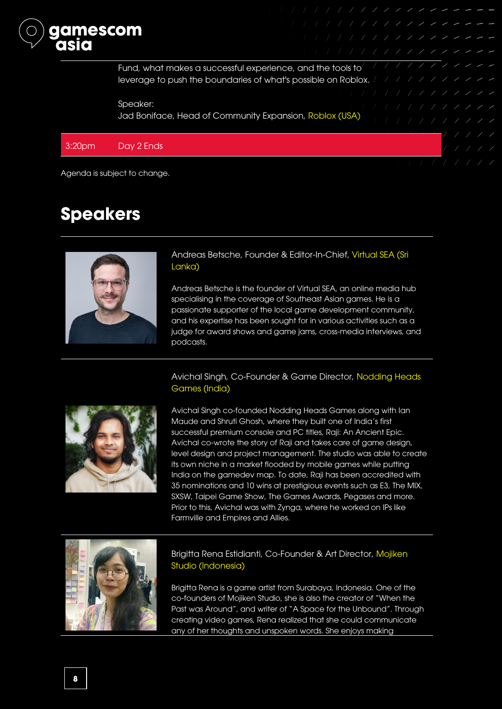

Fund, what makes a successful experience, and the tools to leverage to push the boundaries of what's possible on Roblox. And all all all all all  $\sim$ 

Speaker: Jad Boniface, Head of Community Expansion, Roblox (USA)

### 3:20pm Day 2 Ends

Agenda is subject to change.

# **Speakers**



Andreas Betsche, Founder & Editor-In-Chief, Virtual SEA (Sri Lanka)

Andreas Betsche is the founder of Virtual SEA, an online media hub specialising in the coverage of Southeast Asian games. He is a passionate supporter of the local game development community, and his expertise has been sought for in various activities such as a judge for award shows and game jams, cross-media interviews, and podcasts.

#### Avichal Singh, Co-Founder & Game Director, Nodding Heads Games (India)



Avichal Singh co-founded Nodding Heads Games along with Ian Maude and Shruti Ghosh, where they built one of India's first successful premium console and PC titles, Raji: An Ancient Epic. Avichal co-wrote the story of Raji and takes care of game design, level design and project management. The studio was able to create its own niche in a market flooded by mobile games while putting India on the gamedev map. To date, Raji has been accredited with 35 nominations and 10 wins at prestigious events such as E3, The MIX, SXSW, Taipei Game Show, The Games Awards, Pegases and more. Prior to this, Avichal was with Zynga, where he worked on IPs like Farmville and Empires and Allies.



### Brigitta Rena Estidianti, Co-Founder & Art Director, Mojiken Studio (Indonesia)

Brigitta Rena is a game artist from Surabaya, Indonesia. One of the co-founders of Mojiken Studio, she is also the creator of "When the Past was Around", and writer of "A Space for the Unbound". Through creating video games, Rena realized that she could communicate any of her thoughts and unspoken words. She enjoys making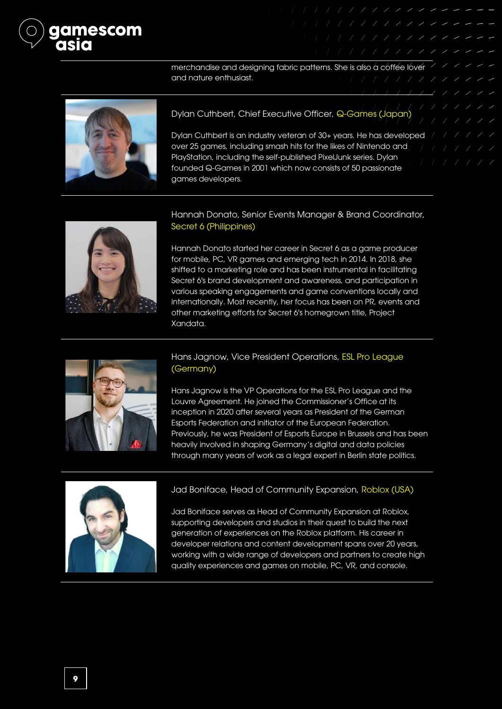

merchandise and designing fabric patterns. She is also a coffee lover and nature enthusiast.



Dylan Cuthbert, Chief Executive Officer, Q-Games (Japan)

Dylan Cuthbert is an industry veteran of 30+ years. He has developed / / / over 25 games, including smash hits for the likes of Nintendo and PlayStation, including the self-published PixelJunk series. Dylan founded Q-Games in 2001 which now consists of 50 passionate games developers.



Hannah Donato, Senior Events Manager & Brand Coordinator, Secret 6 (Philippines)

Hannah Donato started her career in Secret 6 as a game producer for mobile, PC, VR games and emerging tech in 2014. In 2018, she shifted to a marketing role and has been instrumental in facilitating Secret 6's brand development and awareness, and participation in various speaking engagements and game conventions locally and internationally. Most recently, her focus has been on PR, events and other marketing efforts for Secret 6's homegrown title, Project Xandata.



### Hans Jagnow, Vice President Operations, ESL Pro League (Germany)

Hans Jagnow is the VP Operations for the ESL Pro League and the Louvre Agreement. He joined the Commissioner's Office at its inception in 2020 after several years as President of the German Esports Federation and initiator of the European Federation. Previously, he was President of Esports Europe in Brussels and has been heavily involved in shaping Germany's digital and data policies through many years of work as a legal expert in Berlin state politics.



#### Jad Boniface, Head of Community Expansion, Roblox (USA)

Jad Boniface serves as Head of Community Expansion at Roblox, supporting developers and studios in their quest to build the next generation of experiences on the Roblox platform. His career in developer relations and content development spans over 20 years, working with a wide range of developers and partners to create high quality experiences and games on mobile, PC, VR, and console.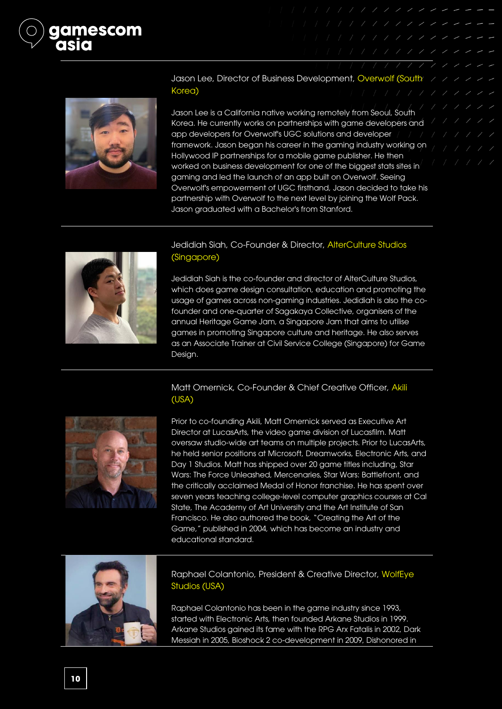



Jason Lee, Director of Business Development, Overwolf (South XXX Korea)

Jason Lee is a California native working remotely from Seoul, South Korea. He currently works on partnerships with game developers and app developers for Overwolf's UGC solutions and developer framework. Jason began his career in the gaming industry working on Hollywood IP partnerships for a mobile game publisher. He then worked on business development for one of the biggest stats sites in gaming and led the launch of an app built on Overwolf. Seeing Overwolf's empowerment of UGC firsthand, Jason decided to take his partnership with Overwolf to the next level by joining the Wolf Pack. Jason graduated with a Bachelor's from Stanford.



### Jedidiah Siah, Co-Founder & Director, AlterCulture Studios (Singapore)

Jedidiah Siah is the co-founder and director of AlterCulture Studios, which does game design consultation, education and promoting the usage of games across non-gaming industries. Jedidiah is also the cofounder and one-quarter of Sagakaya Collective, organisers of the annual Heritage Game Jam, a Singapore Jam that aims to utilise games in promoting Singapore culture and heritage. He also serves as an Associate Trainer at Civil Service College (Singapore) for Game Design.

#### Matt Omernick, Co-Founder & Chief Creative Officer, Akili (USA)



Prior to co-founding Akili, Matt Omernick served as Executive Art Director at LucasArts, the video game division of Lucasfilm. Matt oversaw studio-wide art teams on multiple projects. Prior to LucasArts, he held senior positions at Microsoft, Dreamworks, Electronic Arts, and Day 1 Studios. Matt has shipped over 20 game titles including, Star Wars: The Force Unleashed, Mercenaries, Star Wars: Battlefront, and the critically acclaimed Medal of Honor franchise. He has spent over seven years teaching college-level computer graphics courses at Cal State, The Academy of Art University and the Art Institute of San Francisco. He also authored the book, "Creating the Art of the Game," published in 2004, which has become an industry and educational standard.



Raphael Colantonio, President & Creative Director, WolfEye Studios (USA)

Raphael Colantonio has been in the game industry since 1993, started with Electronic Arts, then founded Arkane Studios in 1999. Arkane Studios gained its fame with the RPG Arx Fatalis in 2002, Dark Messiah in 2005, Bioshock 2 co-development in 2009, Dishonored in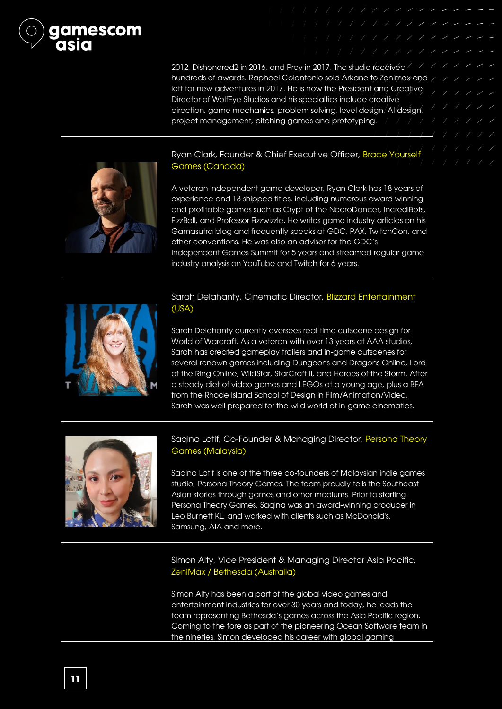2012, Dishonored2 in 2016, and Prey in 2017. The studio received hundreds of awards. Raphael Colantonio sold Arkane to Zenimax and  $\angle$  / / left for new adventures in 2017. He is now the President and Creative Director of WolfEye Studios and his specialties include creative direction, game mechanics, problem solving, level design, AI design, project management, pitching games and prototyping.



Ryan Clark, Founder & Chief Executive Officer, Brace Yourself Games (Canada)

A veteran independent game developer, Ryan Clark has 18 years of experience and 13 shipped titles, including numerous award winning and profitable games such as Crypt of the NecroDancer, IncrediBots, FizzBall, and Professor Fizzwizzle. He writes game industry articles on his Gamasutra blog and frequently speaks at GDC, PAX, TwitchCon, and other conventions. He was also an advisor for the GDC's Independent Games Summit for 5 years and streamed regular game industry analysis on YouTube and Twitch for 6 years.



# Sarah Delahanty, Cinematic Director, Blizzard Entertainment (USA)

Sarah Delahanty currently oversees real-time cutscene design for World of Warcraft. As a veteran with over 13 years at AAA studios, Sarah has created gameplay trailers and in-game cutscenes for several renown games including Dungeons and Dragons Online, Lord of the Ring Online, WildStar, StarCraft II, and Heroes of the Storm. After a steady diet of video games and LEGOs at a young age, plus a BFA from the Rhode Island School of Design in Film/Animation/Video, Sarah was well prepared for the wild world of in-game cinematics.



## Saqina Latif, Co-Founder & Managing Director, Persona Theory Games (Malaysia)

Saqina Latif is one of the three co-founders of Malaysian indie games studio, Persona Theory Games. The team proudly tells the Southeast Asian stories through games and other mediums. Prior to starting Persona Theory Games, Saqina was an award-winning producer in Leo Burnett KL, and worked with clients such as McDonald's, Samsung, AIA and more.

Simon Alty, Vice President & Managing Director Asia Pacific, ZeniMax / Bethesda (Australia)

Simon Alty has been a part of the global video games and entertainment industries for over 30 years and today, he leads the team representing Bethesda's games across the Asia Pacific region. Coming to the fore as part of the pioneering Ocean Software team in the nineties, Simon developed his career with global gaming